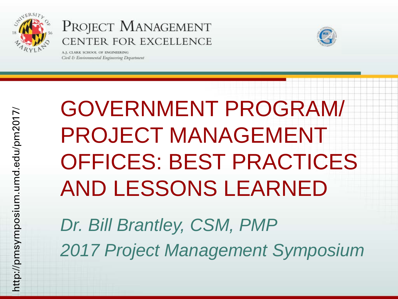

A.J. CLARK SCHOOL OF ENGINEERING Civil & Environmental Engineering Department



GOVERNMENT PROGRAM/ PROJECT MANAGEMENT OFFICES: BEST PRACTICES AND LESSONS LEARNED

*Dr. Bill Brantley, CSM, PMP 2017 Project Management Symposium*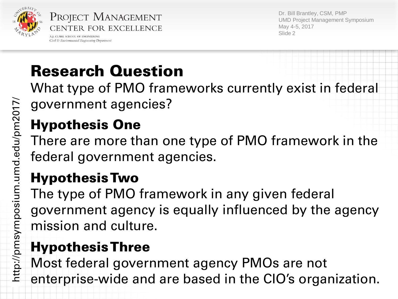

Civil & Environmental Engineering Department

Dr. Bill Brantley, CSM, PMP UMD Project Management Symposium May 4-5, 2017 Slide 2

# Research Question

What type of PMO frameworks currently exist in federal government agencies?

# Hypothesis One

There are more than one type of PMO framework in the federal government agencies.

## Hypothesis Two

The type of PMO framework in any given federal government agency is equally influenced by the agency mission and culture.

# Hypothesis Three

Most federal government agency PMOs are not enterprise-wide and are based in the CIO's organization.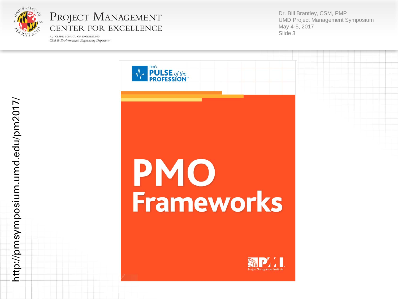

A.J. CLARK SCHOOL OF ENGINEERING Civil & Environmental Engineering Department Dr. Bill Brantley, CSM, PMP UMD Project Management Symposium May 4 -5, 2017 Slide 3





http://pmsymposium.umd.edu/pm2017/ http://pmsymposium.umd.edu/pm2017/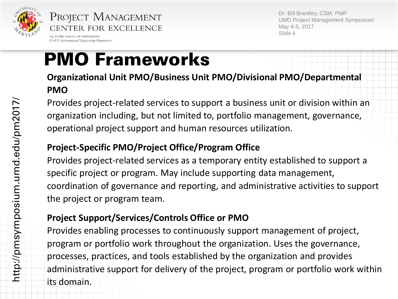

A.I. CLARK SCHOOL OF ENGINEERING Civil & Environmental Engineering Department Dr. Bill Brantley, CSM, PMP UMD Project Management Symposium May 4-5, 2017 Slide 4

# PMO Frameworks

**Organizational Unit PMO/Business Unit PMO/Divisional PMO/Departmental PMO**

Provides project-related services to support a business unit or division within an organization including, but not limited to, portfolio management, governance, operational project support and human resources utilization.

#### **Project-Specific PMO/Project Office/Program Office**

Provides project-related services as a temporary entity established to support a specific project or program. May include supporting data management, coordination of governance and reporting, and administrative activities to support the project or program team.

#### **Project Support/Services/Controls Office or PMO**

Provides enabling processes to continuously support management of project, program or portfolio work throughout the organization. Uses the governance, processes, practices, and tools established by the organization and provides administrative support for delivery of the project, program or portfolio work within its domain.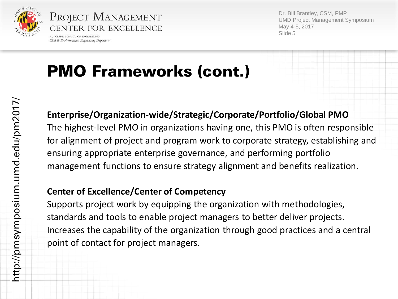

Civil & Environmental Engineering Department

Dr. Bill Brantley, CSM, PMP UMD Project Management Symposium May 4-5, 2017 Slide 5

# PMO Frameworks (cont.)

# http://pmsymposium.umd.edu/pm2017/ http://pmsymposium.umd.edu/pm2017/

#### **Enterprise/Organization-wide/Strategic/Corporate/Portfolio/Global PMO**

The highest-level PMO in organizations having one, this PMO is often responsible for alignment of project and program work to corporate strategy, establishing and ensuring appropriate enterprise governance, and performing portfolio management functions to ensure strategy alignment and benefits realization.

#### **Center of Excellence/Center of Competency**

Supports project work by equipping the organization with methodologies, standards and tools to enable project managers to better deliver projects. Increases the capability of the organization through good practices and a central point of contact for project managers.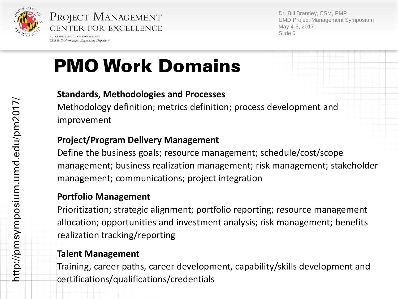

A.I. CLARK SCHOOL OF ENGINEERING Civil & Environmental Engineering Department Dr. Bill Brantley, CSM, PMP UMD Project Management Symposium May 4-5, 2017 Slide 6

# PMO Work Domains

#### **Standards, Methodologies and Processes**

Methodology definition; metrics definition; process development and improvement

#### **Project/Program Delivery Management**

Define the business goals; resource management; schedule/cost/scope management; business realization management; risk management; stakeholder management; communications; project integration

#### **Portfolio Management**

Prioritization; strategic alignment; portfolio reporting; resource management allocation; opportunities and investment analysis; risk management; benefits realization tracking/reporting

#### **Talent Management**

Training, career paths, career development, capability/skills development and certifications/qualifications/credentials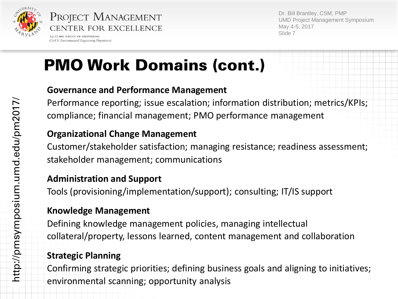

Civil & Environmental Engineering Department

Dr. Bill Brantley, CSM, PMP UMD Project Management Symposium May 4-5, 2017 Slide 7

# PMO Work Domains (cont.)

#### **Governance and Performance Management**

Performance reporting; issue escalation; information distribution; metrics/KPIs; compliance; financial management; PMO performance management

#### **Organizational Change Management**

Customer/stakeholder satisfaction; managing resistance; readiness assessment; stakeholder management; communications

#### **Administration and Support**

Tools (provisioning/implementation/support); consulting; IT/IS support

#### **Knowledge Management**

Defining knowledge management policies, managing intellectual collateral/property, lessons learned, content management and collaboration

#### **Strategic Planning**

Confirming strategic priorities; defining business goals and aligning to initiatives; environmental scanning; opportunity analysis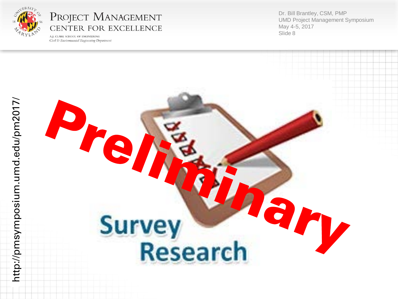

A.J. CLARK SCHOOL OF ENGINEERING Civil & Environmental Engineering Department Dr. Bill Brantley, CSM, PMP UMD Project Management Symposium May 4 -5, 2017 Slide 8

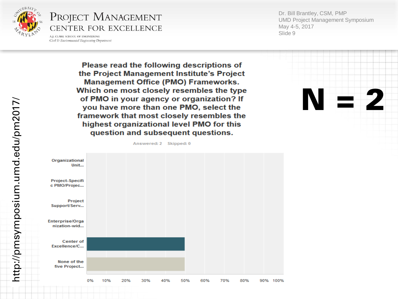

A.J. CLARK SCHOOL OF ENGINEERING Civil & Environmental Engineering Department Dr. Bill Brantley, CSM, PMP UMD Project Management Symposium May 4 -5, 2017 Slide 9

 $N = 2$ 

Please read the following descriptions of the Project Management Institute's Project **Management Office (PMO) Frameworks.** Which one most closely resembles the type of PMO in your agency or organization? If you have more than one PMO, select the framework that most closely resembles the highest organizational level PMO for this question and subsequent questions.

Answered: 2 Skipped: 0



http://pmsymposium.umd.edu/pm2017/ http://pmsymposium.umd.edu/pm2017/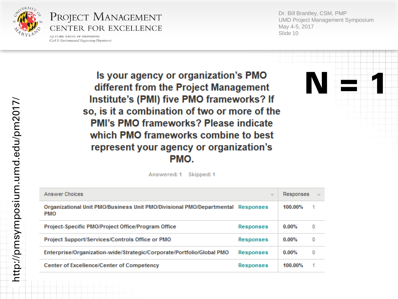

A.J. CLARK SCHOOL OF ENGINEERING Civil & Environmental Engineering Department Dr. Bill Brantley, CSM, PMP UMD Project Management Symposium May 4 -5, 2017 Slide 10

 $N = 1$ 

Is your agency or organization's PMO different from the Project Management Institute's (PMI) five PMO frameworks? If so, is it a combination of two or more of the **PMI's PMO frameworks? Please indicate** which PMO frameworks combine to best represent your agency or organization's PMO.

> Skipped: 1 Answered: 1

| Answer Choices                                                                                | $\overline{\phantom{a}}$ | Responses |   |
|-----------------------------------------------------------------------------------------------|--------------------------|-----------|---|
| Organizational Unit PMO/Business Unit PMO/Divisional PMO/Departmental Responses<br><b>PMO</b> |                          | 100.00%   |   |
| Project-Specific PMO/Project Office/Program Office                                            | <b>Responses</b>         | $0.00\%$  | 0 |
| Project Support/Services/Controls Office or PMO                                               | <b>Responses</b>         | $0.00\%$  | 0 |
| Enterprise/Organization-wide/Strategic/Corporate/Portfolio/Global PMO                         | <b>Responses</b>         | $0.00\%$  | 0 |
| <b>Center of Excellence/Center of Competency</b>                                              | <b>Responses</b>         | 100.00%   |   |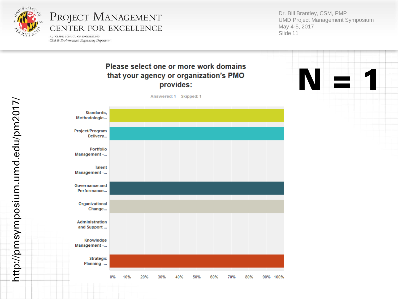

A.J. CLARK SCHOOL OF ENGINEERING Civil & Environmental Engineering Department Dr. Bill Brantley, CSM, PMP UMD Project Management Symposium May 4 -5, 2017 Slide 11

#### Please select one or more work domains that your agency or organization's PMO provides:



http://pmsymposium.umd.edu/pm2017/ http://pmsymposium.umd.edu/pm2017/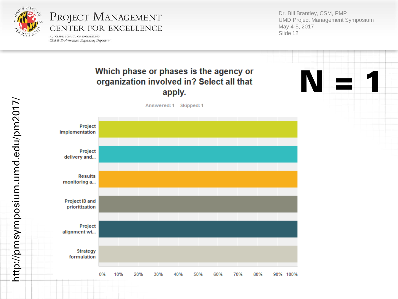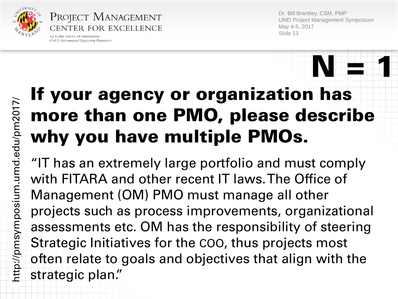

Project Management CENTER FOR EXCELLENCE

A.I. CLARK SCHOOL OF ENGINEERING Civil & Environmental Engineering Department Dr. Bill Brantley, CSM, PMP UMD Project Management Symposium May 4-5, 2017 Slide 13

# If your agency or organization has more than one PMO, please describe why you have multiple PMOs.  $N = 1$

"IT has an extremely large portfolio and must comply with FITARA and other recent IT laws. The Office of Management (OM) PMO must manage all other projects such as process improvements, organizational assessments etc. OM has the responsibility of steering Strategic Initiatives for the COO, thus projects most often relate to goals and objectives that align with the strategic plan."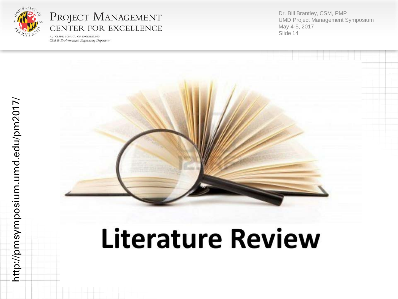

A.J. CLARK SCHOOL OF ENGINEERING Civil & Environmental Engineering Department Dr. Bill Brantley, CSM, PMP UMD Project Management Symposium May 4 -5, 2017 Slide 14



# **Literature Review**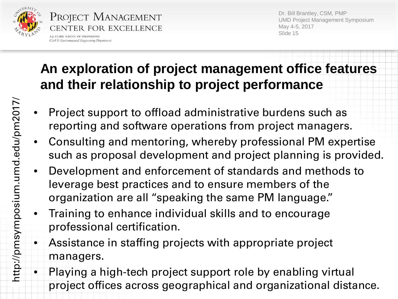

Dr. Bill Brantley, CSM, PMP UMD Project Management Symposium May 4-5, 2017 Slide 15

## **An exploration of project management office features and their relationship to project performance**

- Project support to offload administrative burdens such as reporting and software operations from project managers.
- Consulting and mentoring, whereby professional PM expertise such as proposal development and project planning is provided.
- Development and enforcement of standards and methods to leverage best practices and to ensure members of the organization are all ''speaking the same PM language.''
- Training to enhance individual skills and to encourage professional certification.
- Assistance in staffing projects with appropriate project managers.
- Playing a high-tech project support role by enabling virtual project offices across geographical and organizational distance.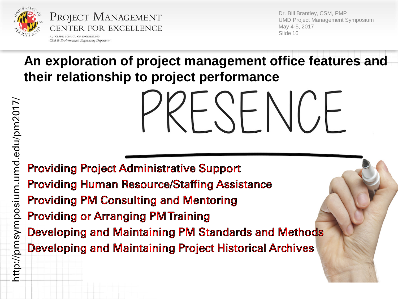

Civil & Environmental Engineering Department

Dr. Bill Brantley, CSM, PMP UMD Project Management Symposium May 4-5, 2017 Slide 16

**An exploration of project management office features and their relationship to project performance**

 $\overline{\phantom{a}}$ 

**Providing Project Administrative Support Providing Human Resource/Staffing Assistance Providing PM Consulting and Mentoring Providing or Arranging PM Training Developing and Maintaining PM Standards and Methods Developing and Maintaining Project Historical Archives**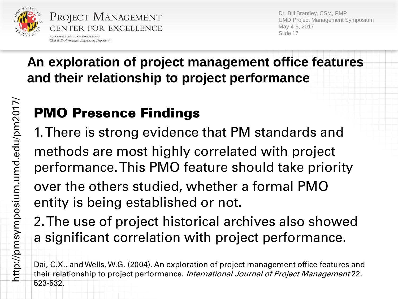

Civil & Environmental Engineering Department

Dr. Bill Brantley, CSM, PMP UMD Project Management Symposium May 4-5, 2017 Slide 17

## **An exploration of project management office features and their relationship to project performance**

# PMO Presence Findings

1. There is strong evidence that PM standards and methods are most highly correlated with project performance. This PMO feature should take priority over the others studied, whether a formal PMO

entity is being established or not. 2. The use of project historical archives also showed

a significant correlation with project performance.

Dai, C.X., and Wells, W.G. (2004). An exploration of project management office features and their relationship to project performance. *International Journal of Project Management* 22. 523-532.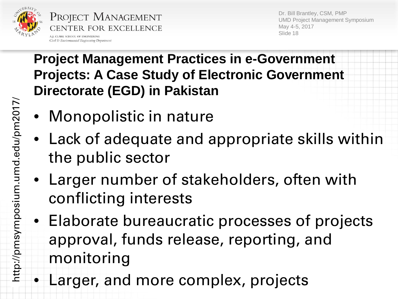

A.I. CLARK SCHOOL OF ENGINEERING Civil & Environmental Engineering Department Dr. Bill Brantley, CSM, PMP UMD Project Management Symposium May 4-5, 2017 Slide 18

- Monopolistic in nature
- Lack of adequate and appropriate skills within the public sector
- Larger number of stakeholders, often with conflicting interests
- Elaborate bureaucratic processes of projects approval, funds release, reporting, and monitoring
- Larger, and more complex, projects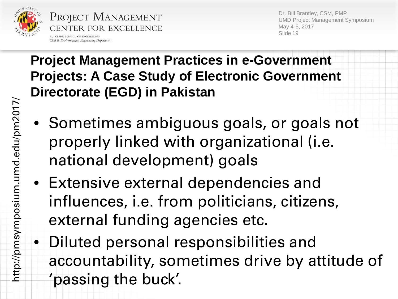

A.I. CLARK SCHOOL OF ENGINEERING Civil & Environmental Engineering Department Dr. Bill Brantley, CSM, PMP UMD Project Management Symposium May 4-5, 2017 Slide 19

- Sometimes ambiguous goals, or goals not properly linked with organizational (i.e. national development) goals
- Extensive external dependencies and influences, i.e. from politicians, citizens, external funding agencies etc.
- Diluted personal responsibilities and accountability, sometimes drive by attitude of 'passing the buck'.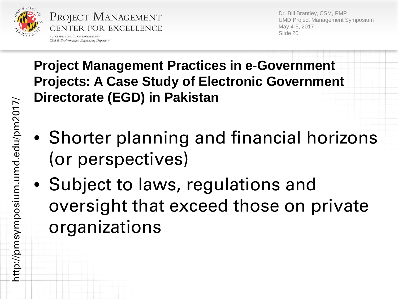

Civil & Environmental Engineering Department

Dr. Bill Brantley, CSM, PMP UMD Project Management Symposium May 4-5, 2017 Slide 20

- Shorter planning and financial horizons (or perspectives)
- Subject to laws, regulations and oversight that exceed those on private organizations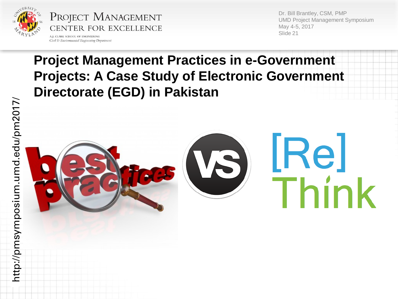

A.J. CLARK SCHOOL OF ENGINEERING Civil & Environmental Engineering Department Dr. Bill Brantley, CSM, PMP UMD Project Management Symposium May 4-5, 2017 Slide 21

<u>IRel</u>

hink

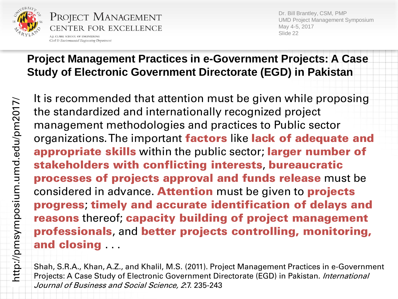

A.J. CLARK SCHOOL OF ENGINEERING Civil & Environmental Engineering Department Dr. Bill Brantley, CSM, PMP UMD Project Management Symposium May 4-5, 2017 Slide 22

#### **Project Management Practices in e-Government Projects: A Case Study of Electronic Government Directorate (EGD) in Pakistan**

It is recommended that attention must be given while proposing the standardized and internationally recognized project management methodologies and practices to Public sector organizations. The important factors like lack of adequate and appropriate skills within the public sector; larger number of stakeholders with conflicting interests, bureaucratic processes of projects approval and funds release must be considered in advance. Attention must be given to projects progress; timely and accurate identification of delays and reasons thereof; capacity building of project management professionals, and better projects controlling, monitoring, and closing

Shah, S.R.A., Khan, A.Z., and Khalil, M.S. (2011). Project Management Practices in e-Government Projects: A Case Study of Electronic Government Directorate (EGD) in Pakistan. *International* Journal of Business and Social Science, 2.7. 235-243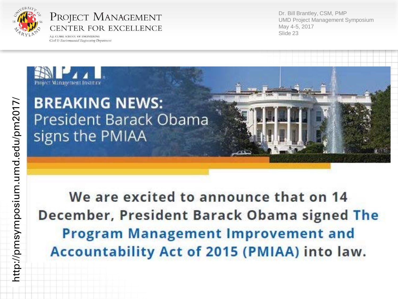

A.J. CLARK SCHOOL OF ENGINEERING Civil & Environmental Engineering Department Dr. Bill Brantley, CSM, PMP UMD Project Management Symposium May 4 -5, 2017 Slide 23



We are excited to announce that on 14 December, President Barack Obama signed The **Program Management Improvement and** Accountability Act of 2015 (PMIAA) into law.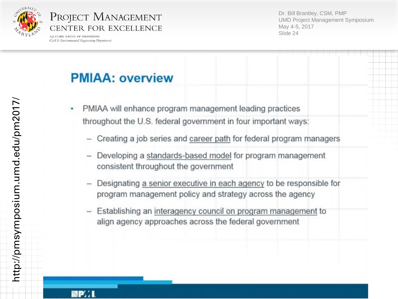

A.J. CLARK SCHOOL OF ENGINEERING Civil & Environmental Engineering Department Dr. Bill Brantley, CSM, PMP UMD Project Management Symposium May 4 -5, 2017 Slide 24

### **PMIAA: overview**

- PMIAA will enhance program management leading practices throughout the U.S. federal government in four important ways:
	- Creating a job series and career path for federal program managers
	- Developing a standards-based model for program management consistent throughout the government
	- Designating a senior executive in each agency to be responsible for program management policy and strategy across the agency
	- Establishing an interagency council on program management to  $\frac{1}{2}$ align agency approaches across the federal government

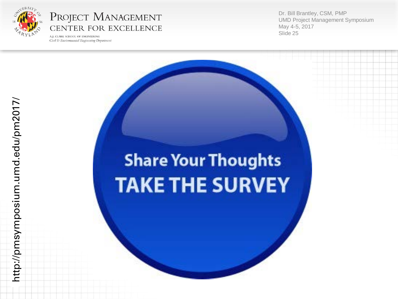

A.J. CLARK SCHOOL OF ENGINEERING Civil & Environmental Engineering Department Dr. Bill Brantley, CSM, PMP UMD Project Management Symposium May 4 -5, 2017 Slide 25

# http://pmsymposium.umd.edu/pm2017/ http://pmsymposium.umd.edu/pm2017/

# **Share Your Thoughts TAKE THE SURVEY**